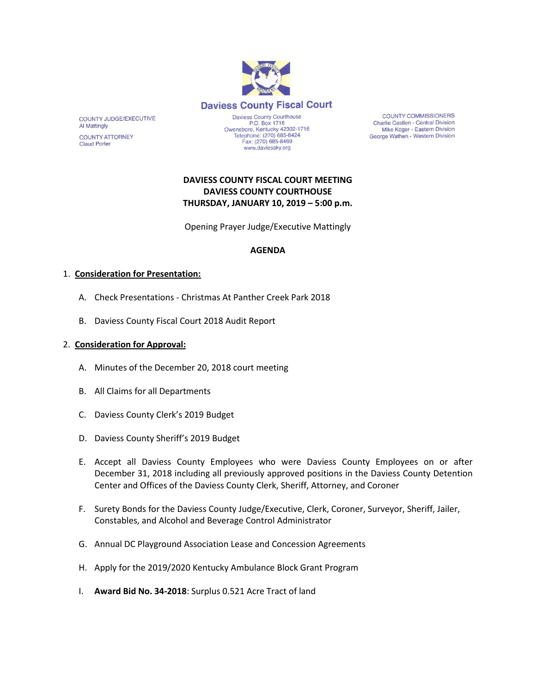

**COUNTY COMMISSIONERS** Charlie Castlen - Central Division Mike Koger - Eastern Division George Wathen - Western Division

# **DAVIESS COUNTY FISCAL COURT MEETING DAVIESS COUNTY COURTHOUSE THURSDAY, JANUARY 10, 2019 – 5:00 p.m.**

Opening Prayer Judge/Executive Mattingly

### **AGENDA**

#### 1. **Consideration for Presentation:**

COUNTY JUDGE/EXECUTIVE

**COUNTY ATTORNEY Claud Porter** 

**Al Mattingly** 

- A. Check Presentations Christmas At Panther Creek Park 2018
- B. Daviess County Fiscal Court 2018 Audit Report

### 2. **Consideration for Approval:**

- A. Minutes of the December 20, 2018 court meeting
- B. All Claims for all Departments
- C. Daviess County Clerk's 2019 Budget
- D. Daviess County Sheriff's 2019 Budget
- E. Accept all Daviess County Employees who were Daviess County Employees on or after December 31, 2018 including all previously approved positions in the Daviess County Detention Center and Offices of the Daviess County Clerk, Sheriff, Attorney, and Coroner
- F. Surety Bonds for the Daviess County Judge/Executive, Clerk, Coroner, Surveyor, Sheriff, Jailer, Constables, and Alcohol and Beverage Control Administrator
- G. Annual DC Playground Association Lease and Concession Agreements
- H. Apply for the 2019/2020 Kentucky Ambulance Block Grant Program
- I. **Award Bid No. 34-2018**: Surplus 0.521 Acre Tract of land